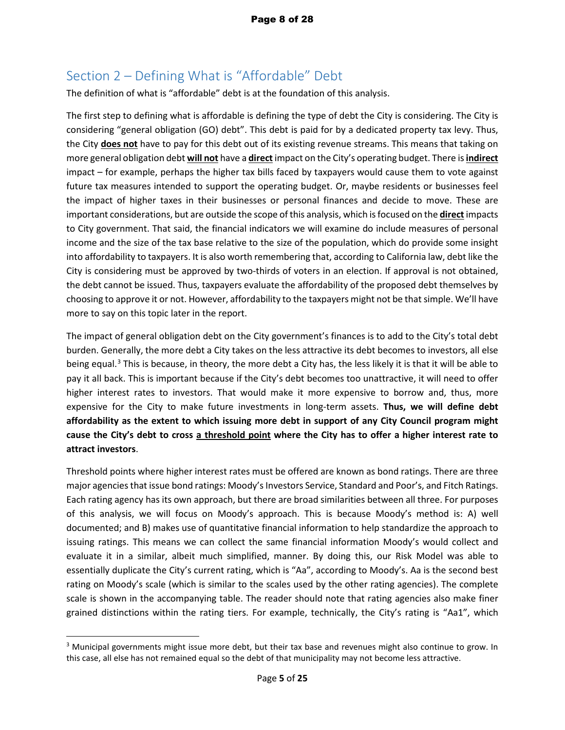## Section 2 – Defining What is "Affordable" Debt

The definition of what is "affordable" debt is at the foundation of this analysis.

The first step to defining what is affordable is defining the type of debt the City is considering. The City is considering "general obligation (GO) debt". This debt is paid for by a dedicated property tax levy. Thus, the City **does not** have to pay for this debt out of its existing revenue streams. This means that taking on more general obligation debt **will not** have a **direct** impact on the City's operating budget. There is **indirect** impact – for example, perhaps the higher tax bills faced by taxpayers would cause them to vote against future tax measures intended to support the operating budget. Or, maybe residents or businesses feel the impact of higher taxes in their businesses or personal finances and decide to move. These are important considerations, but are outside the scope of this analysis, which is focused on the **direct** impacts to City government. That said, the financial indicators we will examine do include measures of personal income and the size of the tax base relative to the size of the population, which do provide some insight into affordability to taxpayers. It is also worth remembering that, according to California law, debt like the City is considering must be approved by two-thirds of voters in an election. If approval is not obtained, the debt cannot be issued. Thus, taxpayers evaluate the affordability of the proposed debt themselves by choosing to approve it or not. However, affordability to the taxpayers might not be that simple. We'll have more to say on this topic later in the report.

The impact of general obligation debt on the City government's finances is to add to the City's total debt burden. Generally, the more debt a City takes on the less attractive its debt becomes to investors, all else being equal.<sup>[3](#page-45-0)</sup> This is because, in theory, the more debt a City has, the less likely it is that it will be able to pay it all back. This is important because if the City's debt becomes too unattractive, it will need to offer higher interest rates to investors. That would make it more expensive to borrow and, thus, more expensive for the City to make future investments in long-term assets. **Thus, we will define debt affordability as the extent to which issuing more debt in support of any City Council program might cause the City's debt to cross a threshold point where the City has to offer a higher interest rate to attract investors**.

Threshold points where higher interest rates must be offered are known as bond ratings. There are three major agencies that issue bond ratings: Moody's Investors Service, Standard and Poor's, and Fitch Ratings. Each rating agency has its own approach, but there are broad similarities between all three. For purposes of this analysis, we will focus on Moody's approach. This is because Moody's method is: A) well documented; and B) makes use of quantitative financial information to help standardize the approach to issuing ratings. This means we can collect the same financial information Moody's would collect and evaluate it in a similar, albeit much simplified, manner. By doing this, our Risk Model was able to essentially duplicate the City's current rating, which is "Aa", according to Moody's. Aa is the second best rating on Moody's scale (which is similar to the scales used by the other rating agencies). The complete scale is shown in the accompanying table. The reader should note that rating agencies also make finer grained distinctions within the rating tiers. For example, technically, the City's rating is "Aa1", which

 $\overline{a}$ 

<span id="page-45-0"></span><sup>&</sup>lt;sup>3</sup> Municipal governments might issue more debt, but their tax base and revenues might also continue to grow. In this case, all else has not remained equal so the debt of that municipality may not become less attractive.